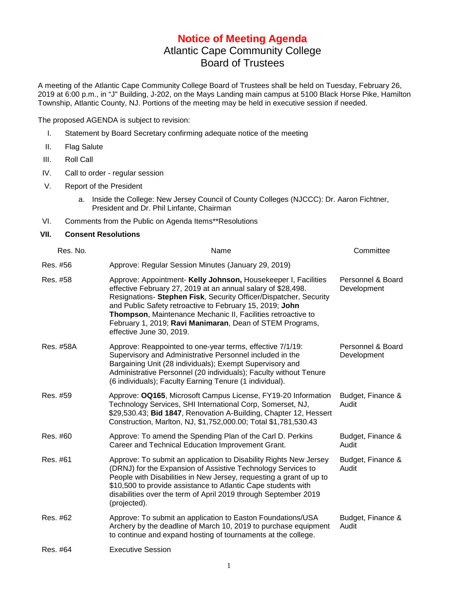## **Notice of Meeting Agenda** Atlantic Cape Community College Board of Trustees

A meeting of the Atlantic Cape Community College Board of Trustees shall be held on Tuesday, February 26, 2019 at 6:00 p.m., in "J" Building, J-202, on the Mays Landing main campus at 5100 Black Horse Pike, Hamilton Township, Atlantic County, NJ. Portions of the meeting may be held in executive session if needed.

The proposed AGENDA is subject to revision:

- I. Statement by Board Secretary confirming adequate notice of the meeting
- II. Flag Salute
- III. Roll Call
- IV. Call to order regular session
- V. Report of the President
	- a. Inside the College: New Jersey Council of County Colleges (NJCCC): Dr. Aaron Fichtner, President and Dr. Phil Linfante, Chairman
- VI. Comments from the Public on Agenda Items\*\*Resolutions

## **VII. Consent Resolutions**

| Res. No.  | Name                                                                                                                                                                                                                                                                                                                                                                                                                    | Committee                        |
|-----------|-------------------------------------------------------------------------------------------------------------------------------------------------------------------------------------------------------------------------------------------------------------------------------------------------------------------------------------------------------------------------------------------------------------------------|----------------------------------|
| Res. #56  | Approve: Regular Session Minutes (January 29, 2019)                                                                                                                                                                                                                                                                                                                                                                     |                                  |
| Res. #58  | Approve: Appointment- Kelly Johnson, Housekeeper I, Facilities<br>effective February 27, 2019 at an annual salary of \$28,498.<br>Resignations- Stephen Fisk, Security Officer/Dispatcher, Security<br>and Public Safety retroactive to February 15, 2019; John<br>Thompson, Maintenance Mechanic II, Facilities retroactive to<br>February 1, 2019; Ravi Manimaran, Dean of STEM Programs,<br>effective June 30, 2019. | Personnel & Board<br>Development |
| Res. #58A | Approve: Reappointed to one-year terms, effective 7/1/19:<br>Supervisory and Administrative Personnel included in the<br>Bargaining Unit (28 individuals); Exempt Supervisory and<br>Administrative Personnel (20 individuals); Faculty without Tenure<br>(6 individuals); Faculty Earning Tenure (1 individual).                                                                                                       | Personnel & Board<br>Development |
| Res. #59  | Approve: OQ165, Microsoft Campus License, FY19-20 Information<br>Technology Services, SHI International Corp, Somerset, NJ,<br>\$29,530.43; Bid 1847, Renovation A-Building, Chapter 12, Hessert<br>Construction, Marlton, NJ, \$1,752,000.00; Total \$1,781,530.43                                                                                                                                                     | Budget, Finance &<br>Audit       |
| Res. #60  | Approve: To amend the Spending Plan of the Carl D. Perkins<br>Career and Technical Education Improvement Grant.                                                                                                                                                                                                                                                                                                         | Budget, Finance &<br>Audit       |
| Res. #61  | Approve: To submit an application to Disability Rights New Jersey<br>(DRNJ) for the Expansion of Assistive Technology Services to<br>People with Disabilities in New Jersey, requesting a grant of up to<br>\$10,500 to provide assistance to Atlantic Cape students with<br>disabilities over the term of April 2019 through September 2019<br>(projected).                                                            | Budget, Finance &<br>Audit       |
| Res. #62  | Approve: To submit an application to Easton Foundations/USA<br>Archery by the deadline of March 10, 2019 to purchase equipment<br>to continue and expand hosting of tournaments at the college.                                                                                                                                                                                                                         | Budget, Finance &<br>Audit       |
| Res. #64  | <b>Executive Session</b>                                                                                                                                                                                                                                                                                                                                                                                                |                                  |